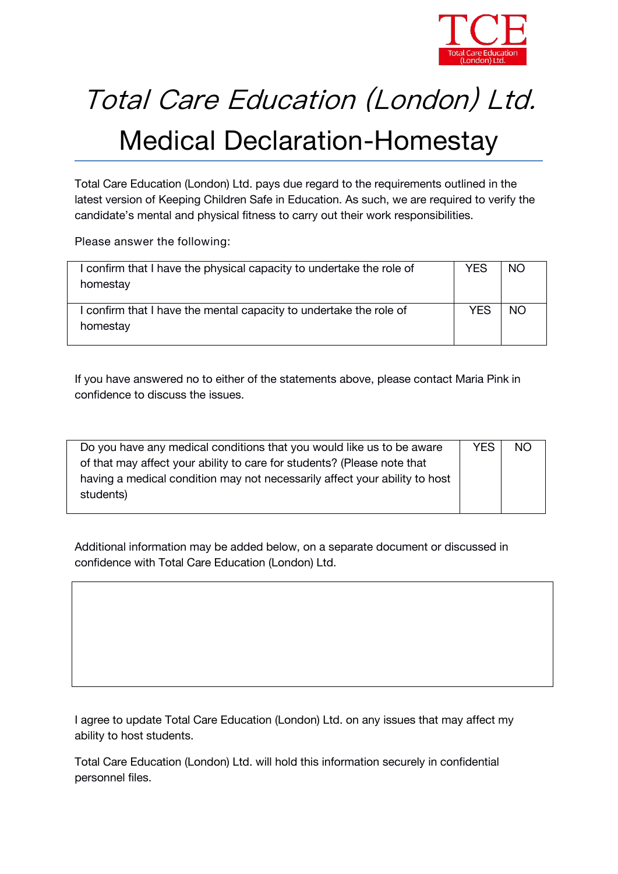

## Total Care Education (London) Ltd.

## Medical Declaration-Homestay

*Total Care Education (London) Ltd.* pays due regard to the requirements outlined in the latest version of *Keeping Children Safe in Education.* As such, we are required to verify the candidate's mental and physical fitness to carry out their work responsibilities.

**Please answer the following:**

| confirm that I have the physical capacity to undertake the role of<br>homestay | YES | NO.       |  |
|--------------------------------------------------------------------------------|-----|-----------|--|
| confirm that I have the mental capacity to undertake the role of<br>homestay   | YES | <b>NO</b> |  |

If you have answered no to either of the statements above, please contact *Maria Pink* in confidence to discuss the issues.

| Do you have any medical conditions that you would like us to be aware      | <b>YES</b> | <b>NO</b> |
|----------------------------------------------------------------------------|------------|-----------|
| of that may affect your ability to care for students? (Please note that    |            |           |
| having a medical condition may not necessarily affect your ability to host |            |           |
| students)                                                                  |            |           |
|                                                                            |            |           |

Additional information may be added below, on a separate document or discussed in confidence with *Total Care Education (London) Ltd.*

I agree to update *Total Care Education (London) Ltd.* on any issues that may affect my ability to host students.

*Total Care Education (London) Ltd.* will hold this information securely in confidential personnel files.